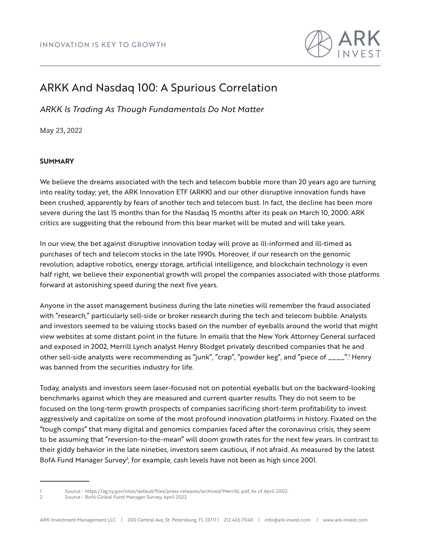

# ARKK And Nasdaq 100: A Spurious Correlation

*ARKK Is Trading As Though Fundamentals Do Not Matter*

May 23, 2022

# **SUMMARY**

We believe the dreams associated with the tech and telecom bubble more than 20 years ago are turning into reality today; yet, the ARK Innovation ETF (ARKK) and our other disruptive innovation funds have been crushed, apparently by fears of another tech and telecom bust. In fact, the decline has been more severe during the last 15 months than for the Nasdaq 15 months after its peak on March 10, 2000. ARK critics are suggesting that the rebound from this bear market will be muted and will take years.

In our view, the bet against disruptive innovation today will prove as ill-informed and ill-timed as purchases of tech and telecom stocks in the late 1990s. Moreover, if our research on the genomic revolution, adaptive robotics, energy storage, artificial intelligence, and blockchain technology is even half right, we believe their exponential growth will propel the companies associated with those platforms forward at astonishing speed during the next five years.

Anyone in the asset management business during the late nineties will remember the fraud associated with "research," particularly sell-side or broker research during the tech and telecom bubble. Analysts and investors seemed to be valuing stocks based on the number of eyeballs around the world that might view websites at some distant point in the future. In emails that the New York Attorney General surfaced and exposed in 2002, Merrill Lynch analyst Henry Blodget privately described companies that he and other sell-side analysts were recommending as "junk", "crap", "powder keg", and "piece of \_\_\_\_".<sup>1</sup> Henry was banned from the securities industry for life.

Today, analysts and investors seem laser-focused not on potential eyeballs but on the backward-looking benchmarks against which they are measured and current quarter results. They do not seem to be focused on the long-term growth prospects of companies sacrificing short-term profitability to invest aggressively and capitalize on some of the most profound innovation platforms in history. Fixated on the "tough comps" that many digital and genomics companies faced after the coronavirus crisis, they seem to be assuming that "reversion-to-the-mean" will doom growth rates for the next few years. In contrast to their giddy behavior in the late nineties, investors seem cautious, if not afraid. As measured by the latest BofA Fund Manager Survey<sup>2</sup>, for example, cash levels have not been as high since 2001.

<sup>1</sup> Source - https://ag.ny.gov/sites/default/files/press-releases/archived/MerrillL.pdf, As of April 2002.

<sup>2</sup> Source - BofA Global Fund Manager Survey, April 2022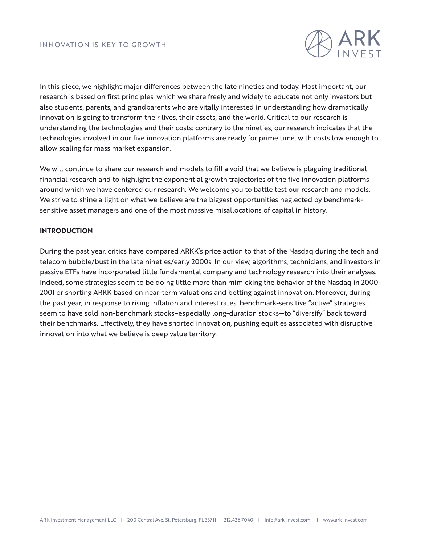

In this piece, we highlight major differences between the late nineties and today. Most important, our research is based on first principles, which we share freely and widely to educate not only investors but also students, parents, and grandparents who are vitally interested in understanding how dramatically innovation is going to transform their lives, their assets, and the world. Critical to our research is understanding the technologies and their costs: contrary to the nineties, our research indicates that the technologies involved in our five innovation platforms are ready for prime time, with costs low enough to allow scaling for mass market expansion.

We will continue to share our research and models to fill a void that we believe is plaguing traditional financial research and to highlight the exponential growth trajectories of the five innovation platforms around which we have centered our research. We welcome you to battle test our research and models. We strive to shine a light on what we believe are the biggest opportunities neglected by benchmarksensitive asset managers and one of the most massive misallocations of capital in history.

# **INTRODUCTION**

During the past year, critics have compared ARKK's price action to that of the Nasdaq during the tech and telecom bubble/bust in the late nineties/early 2000s. In our view, algorithms, technicians, and investors in passive ETFs have incorporated little fundamental company and technology research into their analyses. Indeed, some strategies seem to be doing little more than mimicking the behavior of the Nasdaq in 2000- 2001 or shorting ARKK based on near-term valuations and betting against innovation. Moreover, during the past year, in response to rising inflation and interest rates, benchmark-sensitive "active" strategies seem to have sold non-benchmark stocks–especially long-duration stocks—to "diversify" back toward their benchmarks. Effectively, they have shorted innovation, pushing equities associated with disruptive innovation into what we believe is deep value territory.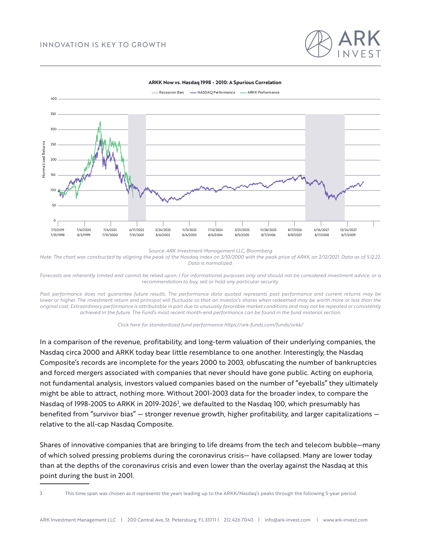



#### **ARKK Now vs. Nasdaq 1998 - 2010: A Spurious Correlation**

*Source: ARK Investment Management LLC, Bloomberg*

*Note: The chart was constructed by aligning the peak of the Nasdaq index on 3/10/2000 with the peak price of ARKK on 2/12/2021. Data as of 5.12.22. Data is normalized.*

*Forecasts are inherently limited and cannot be relied upon. | For informational purposes only and should not be considered investment advice, or a recommendation to buy, sell or hold any particular security.*

Past performance does not quarantee future results. The performance data quoted represents past performance and current returns may be *lower or higher. The investment return and principal will fluctuate so that an investor's shares when redeemed may be worth more or less than the original cost. Extraordinary performance is attributable in part due to unusually favorable market conditions and may not be repeated or consistently achieved in the future. The Fund's most recent month-end performance can be found in the fund material section.*



In a comparison of the revenue, profitability, and long-term valuation of their underlying companies, the Nasdaq circa 2000 and ARKK today bear little resemblance to one another. Interestingly, the Nasdaq Composite's records are incomplete for the years 2000 to 2003, obfuscating the number of bankruptcies and forced mergers associated with companies that never should have gone public. Acting on euphoria, not fundamental analysis, investors valued companies based on the number of "eyeballs" they ultimately might be able to attract, nothing more. Without 2001-2003 data for the broader index, to compare the Nasdaq of 1998-2005 to ARKK in 2019-2026<sup>3</sup>, we defaulted to the Nasdaq 100, which presumably has benefited from "survivor bias" — stronger revenue growth, higher profitability, and larger capitalizations relative to the all-cap Nasdaq Composite.

Shares of innovative companies that are bringing to life dreams from the tech and telecom bubble—many of which solved pressing problems during the coronavirus crisis— have collapsed. Many are lower today than at the depths of the coronavirus crisis and even lower than the overlay against the Nasdaq at this point during the bust in 2001.

3 This time span was chosen as it represents the years leading up to the ARKK/Nasdaq's peaks through the following 5-year period.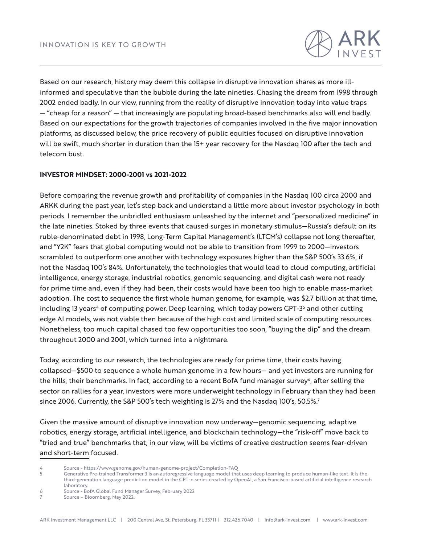

Based on our research, history may deem this collapse in disruptive innovation shares as more illinformed and speculative than the bubble during the late nineties. Chasing the dream from 1998 through 2002 ended badly. In our view, running from the reality of disruptive innovation today into value traps — "cheap for a reason" — that increasingly are populating broad-based benchmarks also will end badly. Based on our expectations for the growth trajectories of companies involved in the five major innovation platforms, as discussed below, the price recovery of public equities focused on disruptive innovation will be swift, much shorter in duration than the 15+ year recovery for the Nasdaq 100 after the tech and telecom bust.

## **INVESTOR MINDSET: 2000-2001 vs 2021-2022**

Before comparing the revenue growth and profitability of companies in the Nasdaq 100 circa 2000 and ARKK during the past year, let's step back and understand a little more about investor psychology in both periods. I remember the unbridled enthusiasm unleashed by the internet and "personalized medicine" in the late nineties. Stoked by three events that caused surges in monetary stimulus—Russia's default on its ruble-denominated debt in 1998, Long-Term Capital Management's (LTCM's) collapse not long thereafter, and "Y2K" fears that global computing would not be able to transition from 1999 to 2000—investors scrambled to outperform one another with technology exposures higher than the S&P 500's 33.6%, if not the Nasdaq 100's 84%. Unfortunately, the technologies that would lead to cloud computing, artificial intelligence, energy storage, industrial robotics, genomic sequencing, and digital cash were not ready for prime time and, even if they had been, their costs would have been too high to enable mass-market adoption. The cost to sequence the first whole human genome, for example, was \$2.7 billion at that time, including 13 years<sup>4</sup> of computing power. Deep learning, which today powers GPT-3<sup>5</sup> and other cutting edge AI models, was not viable then because of the high cost and limited scale of computing resources. Nonetheless, too much capital chased too few opportunities too soon, "buying the dip" and the dream throughout 2000 and 2001, which turned into a nightmare.

Today, according to our research, the technologies are ready for prime time, their costs having collapsed—\$500 to sequence a whole human genome in a few hours— and yet investors are running for the hills, their benchmarks. In fact, according to a recent BofA fund manager survey<sup>6</sup>, after selling the sector on rallies for a year, investors were more underweight technology in February than they had been since 2006. Currently, the S&P 500's tech weighting is 27% and the Nasdaq 100's, 50.5%.<sup>7</sup>

Given the massive amount of disruptive innovation now underway—genomic sequencing, adaptive robotics, energy storage, artificial intelligence, and blockchain technology—the "risk-off" move back to "tried and true" benchmarks that, in our view, will be victims of creative destruction seems fear-driven and short-term focused.

6 Source - BofA Global Fund Manager Survey, February 2022

<sup>4</sup> Source - https://www.genome.gov/human-genome-project/Completion-FAQ

<sup>5</sup> Generative Pre-trained Transformer 3 is an autoregressive language model that uses deep learning to produce human-like text. It is the third-generation language prediction model in the GPT-n series created by OpenAI, a San Francisco-based artificial intelligence research laboratory.

Source – Bloomberg, May 2022.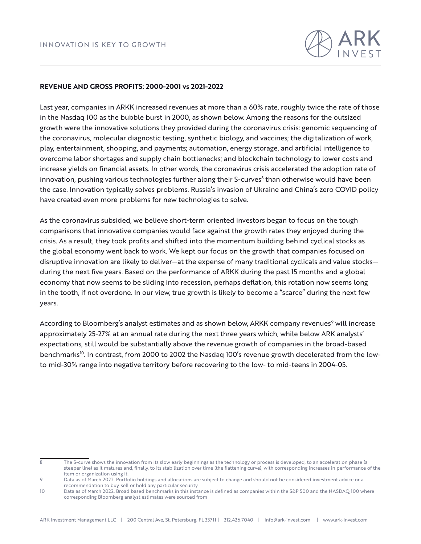

### **REVENUE AND GROSS PROFITS: 2000-2001 vs 2021-2022**

Last year, companies in ARKK increased revenues at more than a 60% rate, roughly twice the rate of those in the Nasdaq 100 as the bubble burst in 2000, as shown below. Among the reasons for the outsized growth were the innovative solutions they provided during the coronavirus crisis: genomic sequencing of the coronavirus, molecular diagnostic testing, synthetic biology, and vaccines; the digitalization of work, play, entertainment, shopping, and payments; automation, energy storage, and artificial intelligence to overcome labor shortages and supply chain bottlenecks; and blockchain technology to lower costs and increase yields on financial assets. In other words, the coronavirus crisis accelerated the adoption rate of innovation, pushing various technologies further along their S-curves<sup>8</sup> than otherwise would have been the case. Innovation typically solves problems. Russia's invasion of Ukraine and China's zero COVID policy have created even more problems for new technologies to solve.

As the coronavirus subsided, we believe short-term oriented investors began to focus on the tough comparisons that innovative companies would face against the growth rates they enjoyed during the crisis. As a result, they took profits and shifted into the momentum building behind cyclical stocks as the global economy went back to work. We kept our focus on the growth that companies focused on disruptive innovation are likely to deliver—at the expense of many traditional cyclicals and value stocks during the next five years. Based on the performance of ARKK during the past 15 months and a global economy that now seems to be sliding into recession, perhaps deflation, this rotation now seems long in the tooth, if not overdone. In our view, true growth is likely to become a "scarce" during the next few years.

According to Bloomberg's analyst estimates and as shown below, ARKK company revenues<sup>9</sup> will increase approximately 25-27% at an annual rate during the next three years which, while below ARK analysts' expectations, still would be substantially above the revenue growth of companies in the broad-based benchmarks<sup>10</sup>. In contrast, from 2000 to 2002 the Nasdaq 100's revenue growth decelerated from the lowto mid-30% range into negative territory before recovering to the low- to mid-teens in 2004-05.

<sup>8</sup> The S-curve shows the innovation from its slow early beginnings as the technology or process is developed, to an acceleration phase (a steeper line) as it matures and, finally, to its stabilization over time (the flattening curve), with corresponding increases in performance of the item or organization using it.

<sup>9</sup> Data as of March 2022. Portfolio holdings and allocations are subject to change and should not be considered investment advice or a recommendation to buy, sell or hold any particular security.

<sup>10</sup> Data as of March 2022. Broad based benchmarks in this instance is defined as companies within the S&P 500 and the NASDAQ 100 where corresponding Bloomberg analyst estimates were sourced from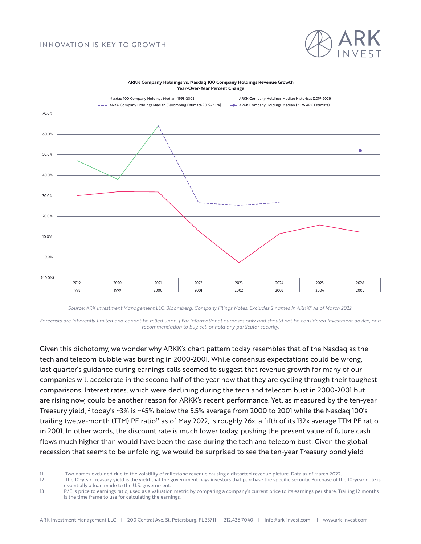# INNOVATION IS KEY TO GROWTH





#### **ARKK Company Holdings vs. Nasdaq 100 Company Holdings Revenue Growth Year-Over-Year Percent Change**

*Source: ARK Investment Management LLC, Bloomberg, Company Filings Notes: Excludes 2 names in ARKK11 As of March 2022.*

*Forecasts are inherently limited and cannot be relied upon. | For informational purposes only and should not be considered investment advice, or a recommendation to buy, sell or hold any particular security.*

Given this dichotomy, we wonder why ARKK's chart pattern today resembles that of the Nasdaq as the tech and telecom bubble was bursting in 2000-2001. While consensus expectations could be wrong, last quarter's guidance during earnings calls seemed to suggest that revenue growth for many of our companies will accelerate in the second half of the year now that they are cycling through their toughest comparisons. Interest rates, which were declining during the tech and telecom bust in 2000-2001 but are rising now, could be another reason for ARKK's recent performance. Yet, as measured by the ten-year Treasury yield,<sup>12</sup> today's ~3% is ~45% below the 5.5% average from 2000 to 2001 while the Nasdaq 100's trailing twelve-month (TTM) PE ratio<sup>13</sup> as of May 2022, is roughly 26x, a fifth of its 132x average TTM PE ratio in 2001. In other words, the discount rate is much lower today, pushing the present value of future cash flows much higher than would have been the case during the tech and telecom bust. Given the global recession that seems to be unfolding, we would be surprised to see the ten-year Treasury bond yield

<sup>11</sup> Two names excluded due to the volatility of milestone revenue causing a distorted revenue picture. Data as of March 2022.

<sup>12</sup> The 10-year Treasury yield is the yield that the government pays investors that purchase the specific security. Purchase of the 10-year note is essentially a loan made to the U.S. government.

<sup>13</sup> P/E is price to earnings ratio, used as a valuation metric by comparing a company's current price to its earnings per share. Trailing 12 months is the time frame to use for calculating the earnings.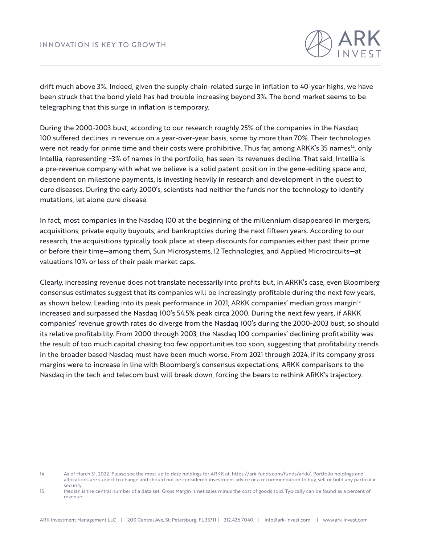drift much above 3%. Indeed, given the supply chain-related surge in inflation to 40-year highs, we have been struck that the bond yield has had trouble increasing beyond 3%. The bond market seems to be telegraphing that this surge in inflation is temporary.

During the 2000-2003 bust, according to our research roughly 25% of the companies in the Nasdaq 100 suffered declines in revenue on a year-over-year basis, some by more than 70%. Their technologies were not ready for prime time and their costs were prohibitive. Thus far, among ARKK's 35 names<sup>14</sup>, only Intellia, representing ~3% of names in the portfolio, has seen its revenues decline. That said, Intellia is a pre-revenue company with what we believe is a solid patent position in the gene-editing space and, dependent on milestone payments, is investing heavily in research and development in the quest to cure diseases. During the early 2000's, scientists had neither the funds nor the technology to identify mutations, let alone cure disease.

In fact, most companies in the Nasdaq 100 at the beginning of the millennium disappeared in mergers, acquisitions, private equity buyouts, and bankruptcies during the next fifteen years. According to our research, the acquisitions typically took place at steep discounts for companies either past their prime or before their time—among them, Sun Microsystems, I2 Technologies, and Applied Microcircuits—at valuations 10% or less of their peak market caps.

Clearly, increasing revenue does not translate necessarily into profits but, in ARKK's case, even Bloomberg consensus estimates suggest that its companies will be increasingly profitable during the next few years, as shown below. Leading into its peak performance in 2021, ARKK companies' median gross margin<sup>15</sup> increased and surpassed the Nasdaq 100's 54.5% peak circa 2000. During the next few years, if ARKK companies' revenue growth rates do diverge from the Nasdaq 100's during the 2000-2003 bust, so should its relative profitability. From 2000 through 2003, the Nasdaq 100 companies' declining profitability was the result of too much capital chasing too few opportunities too soon, suggesting that profitability trends in the broader based Nasdaq must have been much worse. From 2021 through 2024, if its company gross margins were to increase in line with Bloomberg's consensus expectations, ARKK comparisons to the Nasdaq in the tech and telecom bust will break down, forcing the bears to rethink ARKK's trajectory.

<sup>14</sup> As of March 31, 2022. Please see the most up to date holdings for ARKK at: https://ark-funds.com/funds/arkk/. Portfolio holdings and allocations are subject to change and should not be considered investment advice or a recommendation to buy, sell or hold any particular security.

<sup>15</sup> Median is the central number of a data set. Gross Margin is net sales minus the cost of goods sold. Typically can be found as a percent of revenue.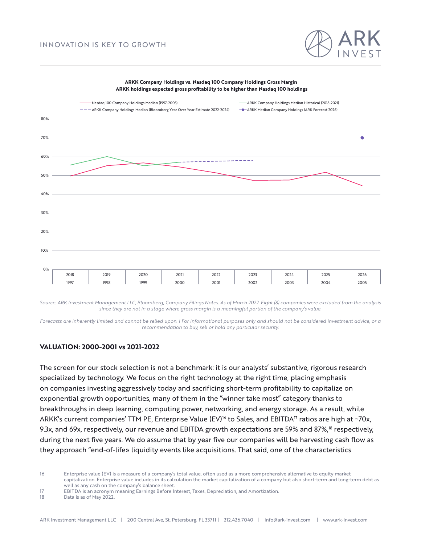

#### **ARKK Company Holdings vs. Nasdaq 100 Company Holdings Gross Margin ARKK holdings expected gross profitability to be higher than Nasdaq 100 holdings**



*Source: ARK Investment Management LLC, Bloomberg, Company Filings Notes. As of March 2022. Eight (8) companies were excluded from the analysis since they are not in a stage where gross margin is a meaningful portion of the company's value.*

*Forecasts are inherently limited and cannot be relied upon. | For informational purposes only and should not be considered investment advice, or a recommendation to buy, sell or hold any particular security.*

### **VALUATION: 2000-2001 vs 2021-2022**

The screen for our stock selection is not a benchmark: it is our analysts' substantive, rigorous research specialized by technology. We focus on the right technology at the right time, placing emphasis on companies investing aggressively today and sacrificing short-term profitability to capitalize on exponential growth opportunities, many of them in the "winner take most" category thanks to breakthroughs in deep learning, computing power, networking, and energy storage. As a result, while ARKK's current companies' TTM PE, Enterprise Value (EV)<sup>16</sup> to Sales, and EBITDA<sup>17</sup> ratios are high at ~70x, 9.3x, and 69x, respectively, our revenue and EBITDA growth expectations are 59% and 87%,<sup>18</sup> respectively, during the next five years. We do assume that by year five our companies will be harvesting cash flow as they approach "end-of-life» liquidity events like acquisitions. That said, one of the characteristics

<sup>16</sup> Enterprise value (EV) is a measure of a company's total value, often used as a more comprehensive alternative to equity market capitalization. Enterprise value includes in its calculation the market capitalization of a company but also short-term and long-term debt as well as any cash on the company's balance sheet.

<sup>17</sup> EBITDA is an acronym meaning Earnings Before Interest, Taxes, Depreciation, and Amortization.

<sup>18</sup> Data is as of May 2022.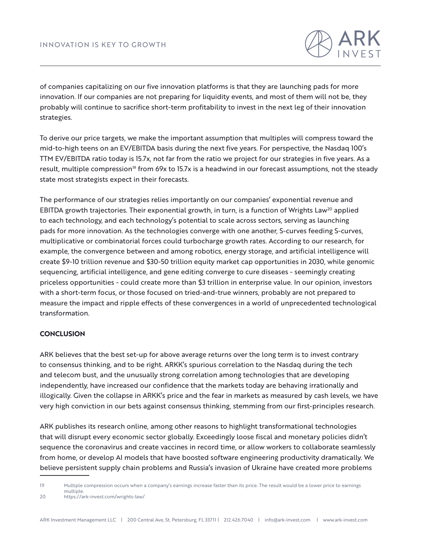

of companies capitalizing on our five innovation platforms is that they are launching pads for more innovation. If our companies are not preparing for liquidity events, and most of them will not be, they probably will continue to sacrifice short-term profitability to invest in the next leg of their innovation strategies.

To derive our price targets, we make the important assumption that multiples will compress toward the mid-to-high teens on an EV/EBITDA basis during the next five years. For perspective, the Nasdaq 100's TTM EV/EBITDA ratio today is 15.7x, not far from the ratio we project for our strategies in five years. As a result, multiple compression<sup>19</sup> from 69x to 15.7x is a headwind in our forecast assumptions, not the steady state most strategists expect in their forecasts.

The performance of our strategies relies importantly on our companies' exponential revenue and EBITDA growth trajectories. Their exponential growth, in turn, is a function of Wrights Law<sup>20</sup> applied to each technology, and each technology's potential to scale across sectors, serving as launching pads for more innovation. As the technologies converge with one another, S-curves feeding S-curves, multiplicative or combinatorial forces could turbocharge growth rates. According to our research, for example, the convergence between and among robotics, energy storage, and artificial intelligence will create \$9-10 trillion revenue and \$30-50 trillion equity market cap opportunities in 2030, while genomic sequencing, artificial intelligence, and gene editing converge to cure diseases - seemingly creating priceless opportunities - could create more than \$3 trillion in enterprise value. In our opinion, investors with a short-term focus, or those focused on tried-and-true winners, probably are not prepared to measure the impact and ripple effects of these convergences in a world of unprecedented technological transformation.

### **CONCLUSION**

ARK believes that the best set-up for above average returns over the long term is to invest contrary to consensus thinking, and to be right. ARKK's spurious correlation to the Nasdaq during the tech and telecom bust, and the unusually strong correlation among technologies that are developing independently, have increased our confidence that the markets today are behaving irrationally and illogically. Given the collapse in ARKK's price and the fear in markets as measured by cash levels, we have very high conviction in our bets against consensus thinking, stemming from our first-principles research.

ARK publishes its research online, among other reasons to highlight transformational technologies that will disrupt every economic sector globally. Exceedingly loose fiscal and monetary policies didn't sequence the coronavirus and create vaccines in record time, or allow workers to collaborate seamlessly from home, or develop AI models that have boosted software engineering productivity dramatically. We believe persistent supply chain problems and Russia's invasion of Ukraine have created more problems

19 Multiple compression occurs when a company's earnings increase faster than its price. The result would be a lower price to earnings multiple.

20 https://ark-invest.com/wrights-law/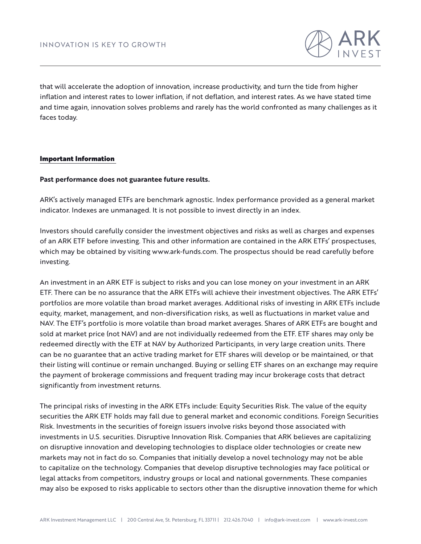

that will accelerate the adoption of innovation, increase productivity, and turn the tide from higher inflation and interest rates to lower inflation, if not deflation, and interest rates. As we have stated time and time again, innovation solves problems and rarely has the world confronted as many challenges as it faces today.

## Important Information

### **Past performance does not guarantee future results.**

ARK's actively managed ETFs are benchmark agnostic. Index performance provided as a general market indicator. Indexes are unmanaged. It is not possible to invest directly in an index.

Investors should carefully consider the investment objectives and risks as well as charges and expenses of an ARK ETF before investing. This and other information are contained in the ARK ETFs' prospectuses, which may be obtained by visiting www.ark-funds.com. The prospectus should be read carefully before investing.

An investment in an ARK ETF is subject to risks and you can lose money on your investment in an ARK ETF. There can be no assurance that the ARK ETFs will achieve their investment objectives. The ARK ETFs' portfolios are more volatile than broad market averages. Additional risks of investing in ARK ETFs include equity, market, management, and non-diversification risks, as well as fluctuations in market value and NAV. The ETF's portfolio is more volatile than broad market averages. Shares of ARK ETFs are bought and sold at market price (not NAV) and are not individually redeemed from the ETF. ETF shares may only be redeemed directly with the ETF at NAV by Authorized Participants, in very large creation units. There can be no guarantee that an active trading market for ETF shares will develop or be maintained, or that their listing will continue or remain unchanged. Buying or selling ETF shares on an exchange may require the payment of brokerage commissions and frequent trading may incur brokerage costs that detract significantly from investment returns.

The principal risks of investing in the ARK ETFs include: Equity Securities Risk. The value of the equity securities the ARK ETF holds may fall due to general market and economic conditions. Foreign Securities Risk. Investments in the securities of foreign issuers involve risks beyond those associated with investments in U.S. securities. Disruptive Innovation Risk. Companies that ARK believes are capitalizing on disruptive innovation and developing technologies to displace older technologies or create new markets may not in fact do so. Companies that initially develop a novel technology may not be able to capitalize on the technology. Companies that develop disruptive technologies may face political or legal attacks from competitors, industry groups or local and national governments. These companies may also be exposed to risks applicable to sectors other than the disruptive innovation theme for which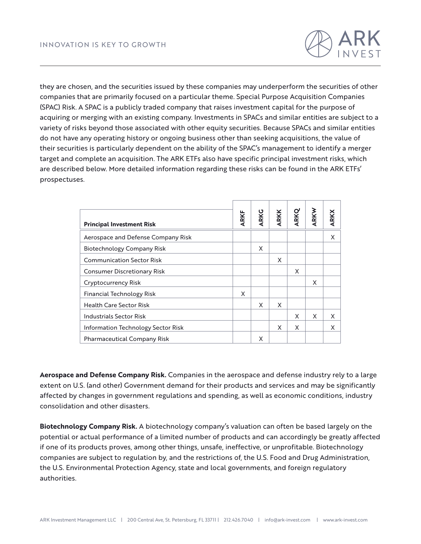

they are chosen, and the securities issued by these companies may underperform the securities of other companies that are primarily focused on a particular theme. Special Purpose Acquisition Companies (SPAC) Risk. A SPAC is a publicly traded company that raises investment capital for the purpose of acquiring or merging with an existing company. Investments in SPACs and similar entities are subject to a variety of risks beyond those associated with other equity securities. Because SPACs and similar entities do not have any operating history or ongoing business other than seeking acquisitions, the value of their securities is particularly dependent on the ability of the SPAC's management to identify a merger target and complete an acquisition. The ARK ETFs also have specific principal investment risks, which are described below. More detailed information regarding these risks can be found in the ARK ETFs' prospectuses.

| <b>Principal Investment Risk</b>   | <b>ARKF</b> | <b>ARKG</b> | <b>ARKK</b> | ARKQ | ARKW | <b>ARKX</b> |
|------------------------------------|-------------|-------------|-------------|------|------|-------------|
| Aerospace and Defense Company Risk |             |             |             |      |      | X           |
| <b>Biotechnology Company Risk</b>  |             | X           |             |      |      |             |
| <b>Communication Sector Risk</b>   |             |             | X           |      |      |             |
| <b>Consumer Discretionary Risk</b> |             |             |             | X    |      |             |
| Cryptocurrency Risk                |             |             |             |      | X    |             |
| Financial Technology Risk          | X           |             |             |      |      |             |
| <b>Health Care Sector Risk</b>     |             | X           | X           |      |      |             |
| <b>Industrials Sector Risk</b>     |             |             |             | X    | X    | X           |
| Information Technology Sector Risk |             |             | X           | X    |      | X           |
| <b>Pharmaceutical Company Risk</b> |             | X           |             |      |      |             |

**Aerospace and Defense Company Risk.** Companies in the aerospace and defense industry rely to a large extent on U.S. (and other) Government demand for their products and services and may be significantly affected by changes in government regulations and spending, as well as economic conditions, industry consolidation and other disasters.

**Biotechnology Company Risk.** A biotechnology company's valuation can often be based largely on the potential or actual performance of a limited number of products and can accordingly be greatly affected if one of its products proves, among other things, unsafe, ineffective, or unprofitable. Biotechnology companies are subject to regulation by, and the restrictions of, the U.S. Food and Drug Administration, the U.S. Environmental Protection Agency, state and local governments, and foreign regulatory authorities.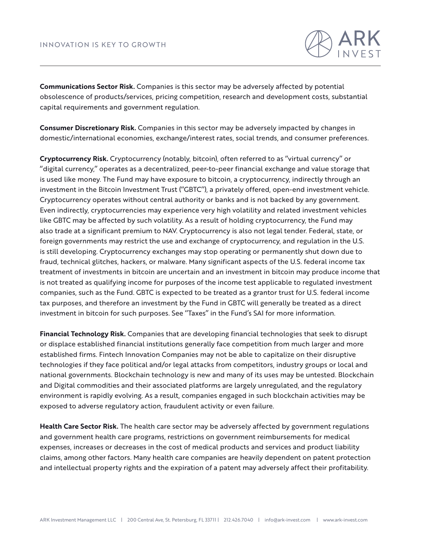

**Communications Sector Risk.** Companies is this sector may be adversely affected by potential obsolescence of products/services, pricing competition, research and development costs, substantial capital requirements and government regulation.

**Consumer Discretionary Risk.** Companies in this sector may be adversely impacted by changes in domestic/international economies, exchange/interest rates, social trends, and consumer preferences.

**Cryptocurrency Risk.** Cryptocurrency (notably, bitcoin), often referred to as ''virtual currency'' or ''digital currency,'' operates as a decentralized, peer-to-peer financial exchange and value storage that is used like money. The Fund may have exposure to bitcoin, a cryptocurrency, indirectly through an investment in the Bitcoin Investment Trust (''GBTC''), a privately offered, open-end investment vehicle. Cryptocurrency operates without central authority or banks and is not backed by any government. Even indirectly, cryptocurrencies may experience very high volatility and related investment vehicles like GBTC may be affected by such volatility. As a result of holding cryptocurrency, the Fund may also trade at a significant premium to NAV. Cryptocurrency is also not legal tender. Federal, state, or foreign governments may restrict the use and exchange of cryptocurrency, and regulation in the U.S. is still developing. Cryptocurrency exchanges may stop operating or permanently shut down due to fraud, technical glitches, hackers, or malware. Many significant aspects of the U.S. federal income tax treatment of investments in bitcoin are uncertain and an investment in bitcoin may produce income that is not treated as qualifying income for purposes of the income test applicable to regulated investment companies, such as the Fund. GBTC is expected to be treated as a grantor trust for U.S. federal income tax purposes, and therefore an investment by the Fund in GBTC will generally be treated as a direct investment in bitcoin for such purposes. See ''Taxes'' in the Fund's SAI for more information.

**Financial Technology Risk.** Companies that are developing financial technologies that seek to disrupt or displace established financial institutions generally face competition from much larger and more established firms. Fintech Innovation Companies may not be able to capitalize on their disruptive technologies if they face political and/or legal attacks from competitors, industry groups or local and national governments. Blockchain technology is new and many of its uses may be untested. Blockchain and Digital commodities and their associated platforms are largely unregulated, and the regulatory environment is rapidly evolving. As a result, companies engaged in such blockchain activities may be exposed to adverse regulatory action, fraudulent activity or even failure.

**Health Care Sector Risk.** The health care sector may be adversely affected by government regulations and government health care programs, restrictions on government reimbursements for medical expenses, increases or decreases in the cost of medical products and services and product liability claims, among other factors. Many health care companies are heavily dependent on patent protection and intellectual property rights and the expiration of a patent may adversely affect their profitability.